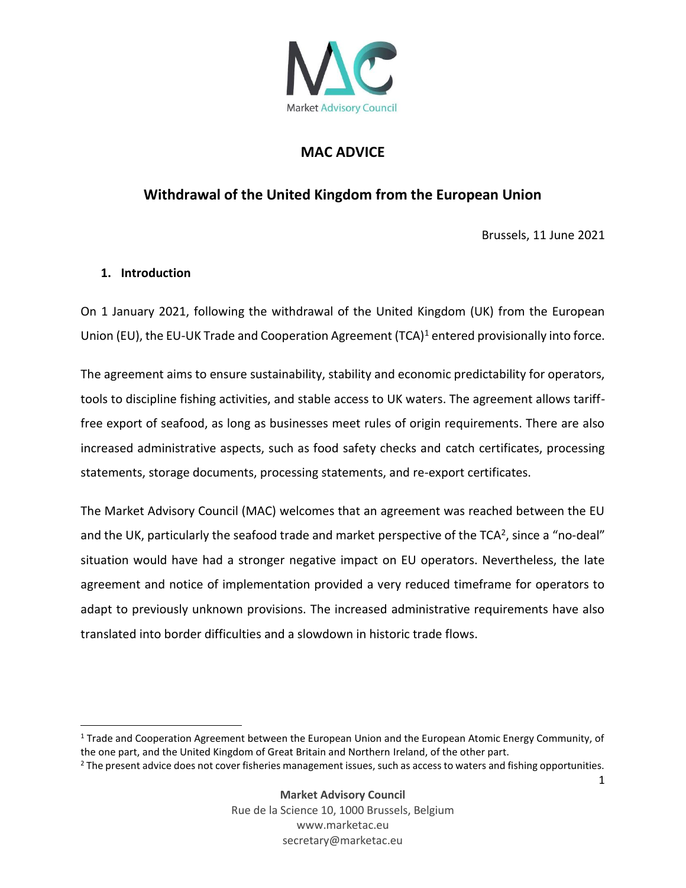

# **MAC ADVICE**

# **Withdrawal of the United Kingdom from the European Union**

Brussels, 11 June 2021

#### **1. Introduction**

On 1 January 2021, following the withdrawal of the United Kingdom (UK) from the European Union (EU), the EU-UK Trade and Cooperation Agreement (TCA)<sup>1</sup> entered provisionally into force.

The agreement aims to ensure sustainability, stability and economic predictability for operators, tools to discipline fishing activities, and stable access to UK waters. The agreement allows tarifffree export of seafood, as long as businesses meet rules of origin requirements. There are also increased administrative aspects, such as food safety checks and catch certificates, processing statements, storage documents, processing statements, and re-export certificates.

The Market Advisory Council (MAC) welcomes that an agreement was reached between the EU and the UK, particularly the seafood trade and market perspective of the TCA<sup>2</sup>, since a "no-deal" situation would have had a stronger negative impact on EU operators. Nevertheless, the late agreement and notice of implementation provided a very reduced timeframe for operators to adapt to previously unknown provisions. The increased administrative requirements have also translated into border difficulties and a slowdown in historic trade flows.

<sup>&</sup>lt;sup>1</sup> Trade and Cooperation Agreement between the European Union and the European Atomic Energy Community, of the one part, and the United Kingdom of Great Britain and Northern Ireland, of the other part.

<sup>&</sup>lt;sup>2</sup> The present advice does not cover fisheries management issues, such as access to waters and fishing opportunities.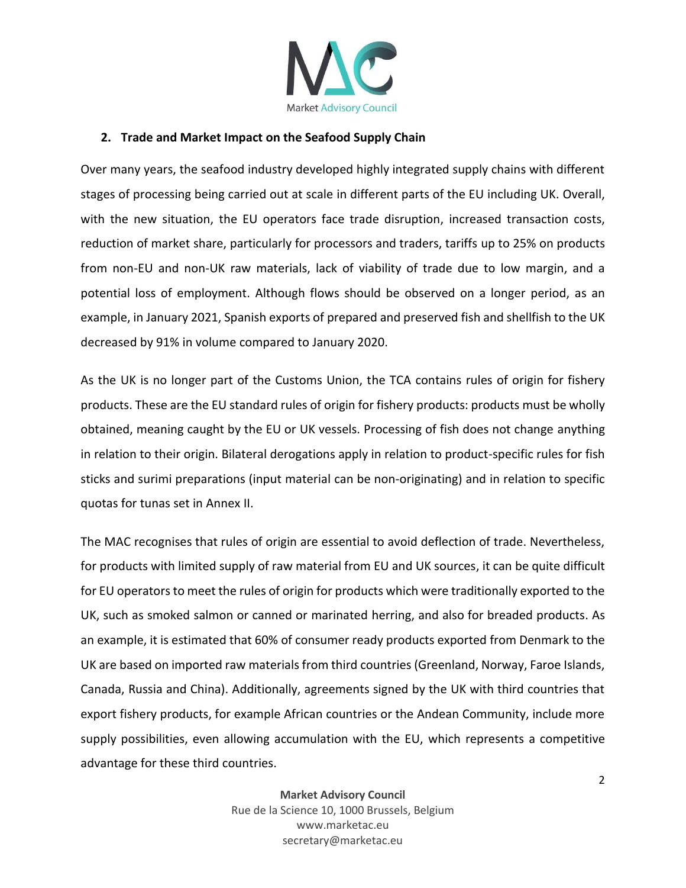

### **2. Trade and Market Impact on the Seafood Supply Chain**

Over many years, the seafood industry developed highly integrated supply chains with different stages of processing being carried out at scale in different parts of the EU including UK. Overall, with the new situation, the EU operators face trade disruption, increased transaction costs, reduction of market share, particularly for processors and traders, tariffs up to 25% on products from non-EU and non-UK raw materials, lack of viability of trade due to low margin, and a potential loss of employment. Although flows should be observed on a longer period, as an example, in January 2021, Spanish exports of prepared and preserved fish and shellfish to the UK decreased by 91% in volume compared to January 2020.

As the UK is no longer part of the Customs Union, the TCA contains rules of origin for fishery products. These are the EU standard rules of origin for fishery products: products must be wholly obtained, meaning caught by the EU or UK vessels. Processing of fish does not change anything in relation to their origin. Bilateral derogations apply in relation to product-specific rules for fish sticks and surimi preparations (input material can be non-originating) and in relation to specific quotas for tunas set in Annex II.

The MAC recognises that rules of origin are essential to avoid deflection of trade. Nevertheless, for products with limited supply of raw material from EU and UK sources, it can be quite difficult for EU operators to meet the rules of origin for products which were traditionally exported to the UK, such as smoked salmon or canned or marinated herring, and also for breaded products. As an example, it is estimated that 60% of consumer ready products exported from Denmark to the UK are based on imported raw materials from third countries (Greenland, Norway, Faroe Islands, Canada, Russia and China). Additionally, agreements signed by the UK with third countries that export fishery products, for example African countries or the Andean Community, include more supply possibilities, even allowing accumulation with the EU, which represents a competitive advantage for these third countries.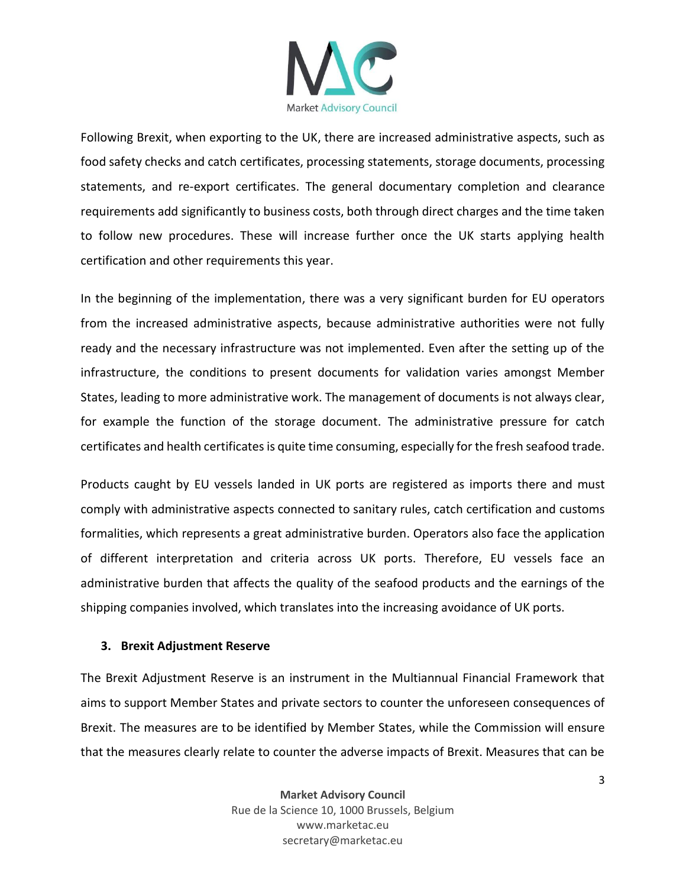

Following Brexit, when exporting to the UK, there are increased administrative aspects, such as food safety checks and catch certificates, processing statements, storage documents, processing statements, and re-export certificates. The general documentary completion and clearance requirements add significantly to business costs, both through direct charges and the time taken to follow new procedures. These will increase further once the UK starts applying health certification and other requirements this year.

In the beginning of the implementation, there was a very significant burden for EU operators from the increased administrative aspects, because administrative authorities were not fully ready and the necessary infrastructure was not implemented. Even after the setting up of the infrastructure, the conditions to present documents for validation varies amongst Member States, leading to more administrative work. The management of documents is not always clear, for example the function of the storage document. The administrative pressure for catch certificates and health certificates is quite time consuming, especially for the fresh seafood trade.

Products caught by EU vessels landed in UK ports are registered as imports there and must comply with administrative aspects connected to sanitary rules, catch certification and customs formalities, which represents a great administrative burden. Operators also face the application of different interpretation and criteria across UK ports. Therefore, EU vessels face an administrative burden that affects the quality of the seafood products and the earnings of the shipping companies involved, which translates into the increasing avoidance of UK ports.

#### **3. Brexit Adjustment Reserve**

The Brexit Adjustment Reserve is an instrument in the Multiannual Financial Framework that aims to support Member States and private sectors to counter the unforeseen consequences of Brexit. The measures are to be identified by Member States, while the Commission will ensure that the measures clearly relate to counter the adverse impacts of Brexit. Measures that can be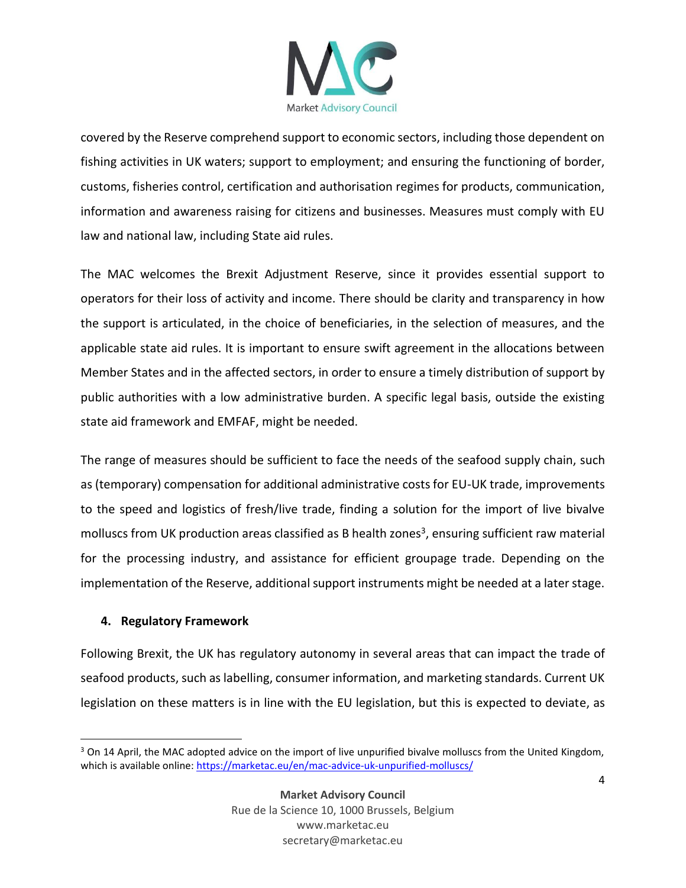

covered by the Reserve comprehend support to economic sectors, including those dependent on fishing activities in UK waters; support to employment; and ensuring the functioning of border, customs, fisheries control, certification and authorisation regimes for products, communication, information and awareness raising for citizens and businesses. Measures must comply with EU law and national law, including State aid rules.

The MAC welcomes the Brexit Adjustment Reserve, since it provides essential support to operators for their loss of activity and income. There should be clarity and transparency in how the support is articulated, in the choice of beneficiaries, in the selection of measures, and the applicable state aid rules. It is important to ensure swift agreement in the allocations between Member States and in the affected sectors, in order to ensure a timely distribution of support by public authorities with a low administrative burden. A specific legal basis, outside the existing state aid framework and EMFAF, might be needed.

The range of measures should be sufficient to face the needs of the seafood supply chain, such as (temporary) compensation for additional administrative costs for EU-UK trade, improvements to the speed and logistics of fresh/live trade, finding a solution for the import of live bivalve molluscs from UK production areas classified as B health zones<sup>3</sup>, ensuring sufficient raw material for the processing industry, and assistance for efficient groupage trade. Depending on the implementation of the Reserve, additional support instruments might be needed at a later stage.

### **4. Regulatory Framework**

Following Brexit, the UK has regulatory autonomy in several areas that can impact the trade of seafood products, such as labelling, consumer information, and marketing standards. Current UK legislation on these matters is in line with the EU legislation, but this is expected to deviate, as

 $3$  On 14 April, the MAC adopted advice on the import of live unpurified bivalve molluscs from the United Kingdom, which is available online[: https://marketac.eu/en/mac-advice-uk-unpurified-molluscs/](https://marketac.eu/en/mac-advice-uk-unpurified-molluscs/)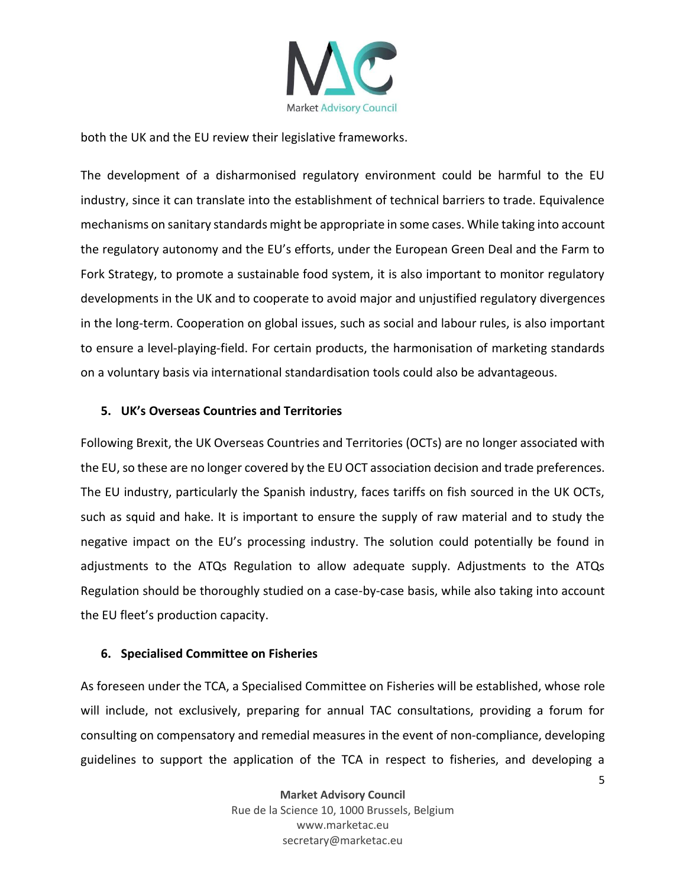

both the UK and the EU review their legislative frameworks.

The development of a disharmonised regulatory environment could be harmful to the EU industry, since it can translate into the establishment of technical barriers to trade. Equivalence mechanisms on sanitary standards might be appropriate in some cases. While taking into account the regulatory autonomy and the EU's efforts, under the European Green Deal and the Farm to Fork Strategy, to promote a sustainable food system, it is also important to monitor regulatory developments in the UK and to cooperate to avoid major and unjustified regulatory divergences in the long-term. Cooperation on global issues, such as social and labour rules, is also important to ensure a level-playing-field. For certain products, the harmonisation of marketing standards on a voluntary basis via international standardisation tools could also be advantageous.

#### **5. UK's Overseas Countries and Territories**

Following Brexit, the UK Overseas Countries and Territories (OCTs) are no longer associated with the EU, so these are no longer covered by the EU OCT association decision and trade preferences. The EU industry, particularly the Spanish industry, faces tariffs on fish sourced in the UK OCTs, such as squid and hake. It is important to ensure the supply of raw material and to study the negative impact on the EU's processing industry. The solution could potentially be found in adjustments to the ATQs Regulation to allow adequate supply. Adjustments to the ATQs Regulation should be thoroughly studied on a case-by-case basis, while also taking into account the EU fleet's production capacity.

#### **6. Specialised Committee on Fisheries**

As foreseen under the TCA, a Specialised Committee on Fisheries will be established, whose role will include, not exclusively, preparing for annual TAC consultations, providing a forum for consulting on compensatory and remedial measures in the event of non-compliance, developing guidelines to support the application of the TCA in respect to fisheries, and developing a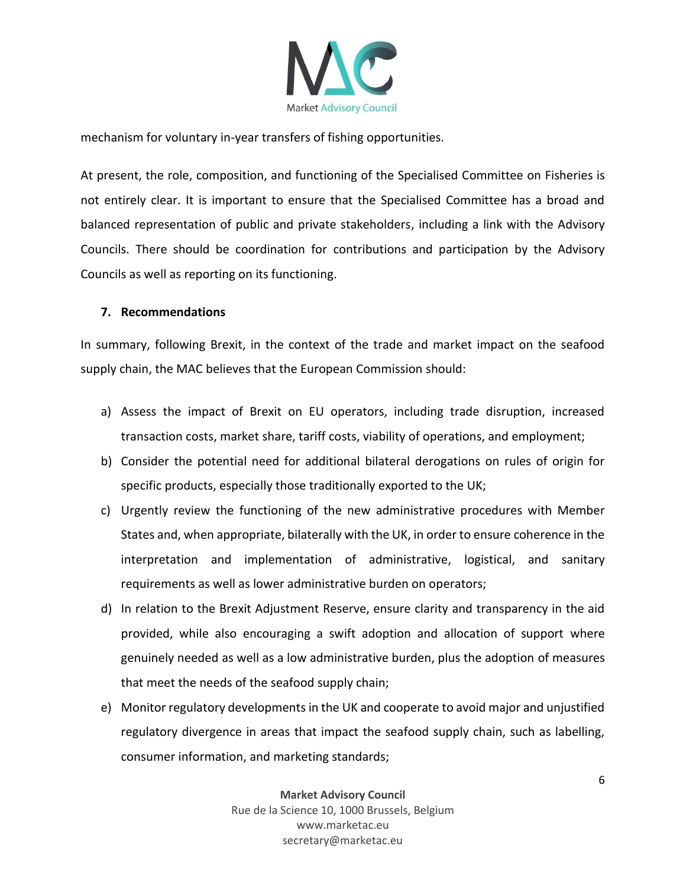

mechanism for voluntary in-year transfers of fishing opportunities.

At present, the role, composition, and functioning of the Specialised Committee on Fisheries is not entirely clear. It is important to ensure that the Specialised Committee has a broad and balanced representation of public and private stakeholders, including a link with the Advisory Councils. There should be coordination for contributions and participation by the Advisory Councils as well as reporting on its functioning.

#### **7. Recommendations**

In summary, following Brexit, in the context of the trade and market impact on the seafood supply chain, the MAC believes that the European Commission should:

- a) Assess the impact of Brexit on EU operators, including trade disruption, increased transaction costs, market share, tariff costs, viability of operations, and employment;
- b) Consider the potential need for additional bilateral derogations on rules of origin for specific products, especially those traditionally exported to the UK;
- c) Urgently review the functioning of the new administrative procedures with Member States and, when appropriate, bilaterally with the UK, in order to ensure coherence in the interpretation and implementation of administrative, logistical, and sanitary requirements as well as lower administrative burden on operators;
- d) In relation to the Brexit Adjustment Reserve, ensure clarity and transparency in the aid provided, while also encouraging a swift adoption and allocation of support where genuinely needed as well as a low administrative burden, plus the adoption of measures that meet the needs of the seafood supply chain;
- e) Monitor regulatory developments in the UK and cooperate to avoid major and unjustified regulatory divergence in areas that impact the seafood supply chain, such as labelling, consumer information, and marketing standards;